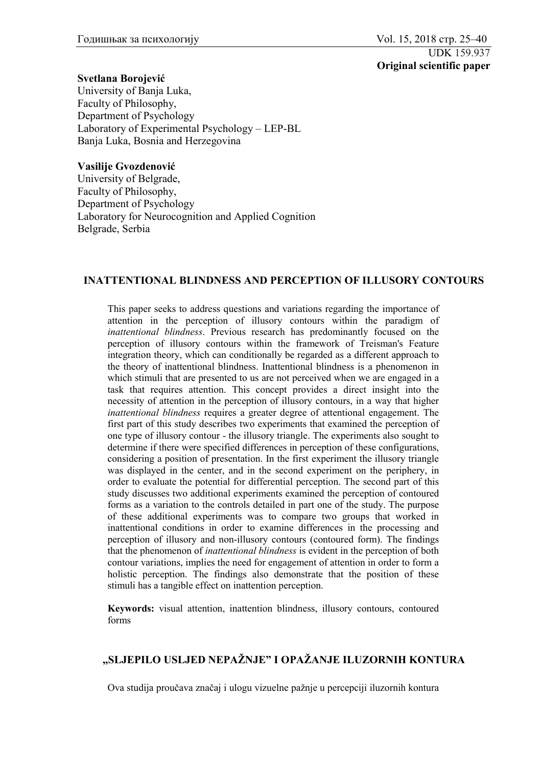## **Svetlana Borojević**

University of Banja Luka, Faculty of Philosophy, Department of Psychology Laboratory of Experimental Psychology – LEP-BL Banja Luka, Bosnia and Herzegovina

## **Vasilije Gvozdenović**

University of Belgrade, Faculty of Philosophy, Department of Psychology Laboratory for Neurocognition and Applied Cognition Belgrade, Serbia

## **INATTENTIONAL BLINDNESS AND PERCEPTION OF ILLUSORY CONTOURS**

This paper seeks to address questions and variations regarding the importance of attention in the perception of illusory contours within the paradigm of *inattentional blindness*. Previous research has predominantly focused on the perception of illusory contours within the framework of Treisman's Feature integration theory, which can conditionally be regarded as a different approach to the theory of inattentional blindness. Inattentional blindness is a phenomenon in which stimuli that are presented to us are not perceived when we are engaged in a task that requires attention. This concept provides a direct insight into the necessity of attention in the perception of illusory contours, in a way that higher *inattentional blindness* requires a greater degree of attentional engagement. The first part of this study describes two experiments that examined the perception of one type of illusory contour - the illusory triangle. The experiments also sought to determine if there were specified differences in perception of these configurations, considering a position of presentation. In the first experiment the illusory triangle was displayed in the center, and in the second experiment on the periphery, in order to evaluate the potential for differential perception. The second part of this study discusses two additional experiments examined the perception of contoured forms as a variation to the controls detailed in part one of the study. The purpose of these additional experiments was to compare two groups that worked in inattentional conditions in order to examine differences in the processing and perception of illusory and non-illusory contours (contoured form). The findings that the phenomenon of *inattentional blindness* is evident in the perception of both contour variations, implies the need for engagement of attention in order to form a holistic perception. The findings also demonstrate that the position of these stimuli has a tangible effect on inattention perception.

**Keywords:** visual attention, inattention blindness, illusory contours, contoured forms

## **"SLJEPILO USLJED NEPAŽNJE" I OPAŽANJE ILUZORNIH KONTURA**

Ova studija proučava značaj i ulogu vizuelne pažnje u percepciji iluzornih kontura